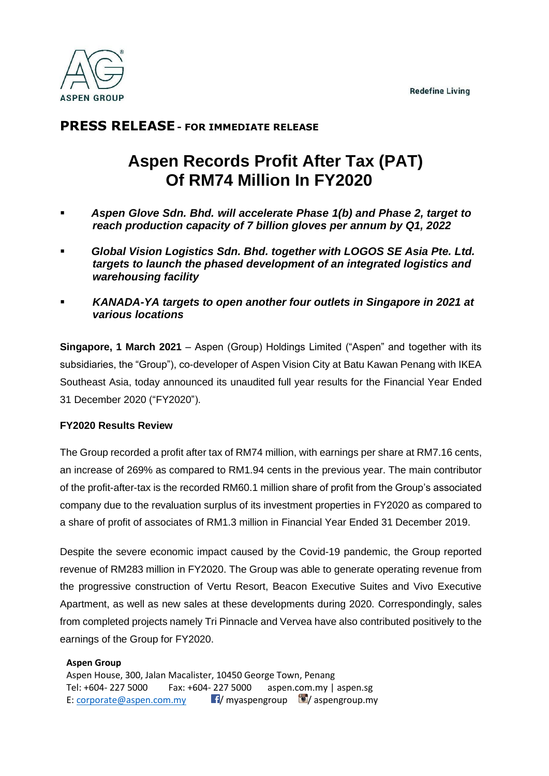

## **PRESS RELEASE- FOR IMMEDIATE RELEASE**

# **Aspen Records Profit After Tax (PAT) Of RM74 Million In FY2020**

- Aspen Glove Sdn. Bhd. will accelerate Phase 1(b) and Phase 2, target to *reach production capacity of 7 billion gloves per annum by Q1, 2022*
- Global Vision Logistics Sdn. Bhd. together with LOGOS SE Asia Pte. Ltd. *targets to launch the phased development of an integrated logistics and warehousing facility*
- *KANADA-YA targets to open another four outlets in Singapore in 2021 at various locations*

**Singapore, 1 March 2021** – Aspen (Group) Holdings Limited ("Aspen" and together with its subsidiaries, the "Group"), co-developer of Aspen Vision City at Batu Kawan Penang with IKEA Southeast Asia, today announced its unaudited full year results for the Financial Year Ended 31 December 2020 ("FY2020").

## **FY2020 Results Review**

The Group recorded a profit after tax of RM74 million, with earnings per share at RM7.16 cents, an increase of 269% as compared to RM1.94 cents in the previous year. The main contributor of the profit-after-tax is the recorded RM60.1 million share of profit from the Group's associated company due to the revaluation surplus of its investment properties in FY2020 as compared to a share of profit of associates of RM1.3 million in Financial Year Ended 31 December 2019.

Despite the severe economic impact caused by the Covid-19 pandemic, the Group reported revenue of RM283 million in FY2020. The Group was able to generate operating revenue from the progressive construction of Vertu Resort, Beacon Executive Suites and Vivo Executive Apartment, as well as new sales at these developments during 2020. Correspondingly, sales from completed projects namely Tri Pinnacle and Vervea have also contributed positively to the earnings of the Group for FY2020.

## **Aspen Group**

Aspen House, 300, Jalan Macalister, 10450 George Town, Penang Tel: +604- 227 5000 Fax: +604- 227 5000 aspen.com.my | aspen.sg E: [corporate@aspen.com.my](mailto:corporate@aspen.com.my) **1/** myaspengroup  $\blacksquare$  / aspengroup.my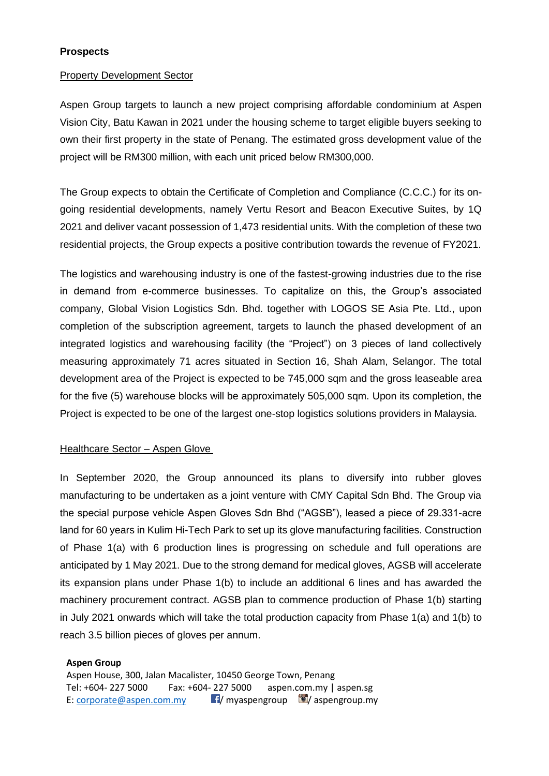## **Prospects**

#### Property Development Sector

Aspen Group targets to launch a new project comprising affordable condominium at Aspen Vision City, Batu Kawan in 2021 under the housing scheme to target eligible buyers seeking to own their first property in the state of Penang. The estimated gross development value of the project will be RM300 million, with each unit priced below RM300,000.

The Group expects to obtain the Certificate of Completion and Compliance (C.C.C.) for its ongoing residential developments, namely Vertu Resort and Beacon Executive Suites, by 1Q 2021 and deliver vacant possession of 1,473 residential units. With the completion of these two residential projects, the Group expects a positive contribution towards the revenue of FY2021.

The logistics and warehousing industry is one of the fastest-growing industries due to the rise in demand from e-commerce businesses. To capitalize on this, the Group's associated company, Global Vision Logistics Sdn. Bhd. together with LOGOS SE Asia Pte. Ltd., upon completion of the subscription agreement, targets to launch the phased development of an integrated logistics and warehousing facility (the "Project") on 3 pieces of land collectively measuring approximately 71 acres situated in Section 16, Shah Alam, Selangor. The total development area of the Project is expected to be 745,000 sqm and the gross leaseable area for the five (5) warehouse blocks will be approximately 505,000 sqm. Upon its completion, the Project is expected to be one of the largest one-stop logistics solutions providers in Malaysia.

#### Healthcare Sector - Aspen Glove

In September 2020, the Group announced its plans to diversify into rubber gloves manufacturing to be undertaken as a joint venture with CMY Capital Sdn Bhd. The Group via the special purpose vehicle Aspen Gloves Sdn Bhd ("AGSB"), leased a piece of 29.331-acre land for 60 years in Kulim Hi-Tech Park to set up its glove manufacturing facilities. Construction of Phase 1(a) with 6 production lines is progressing on schedule and full operations are anticipated by 1 May 2021. Due to the strong demand for medical gloves, AGSB will accelerate its expansion plans under Phase 1(b) to include an additional 6 lines and has awarded the machinery procurement contract. AGSB plan to commence production of Phase 1(b) starting in July 2021 onwards which will take the total production capacity from Phase 1(a) and 1(b) to reach 3.5 billion pieces of gloves per annum.

#### **Aspen Group**

Aspen House, 300, Jalan Macalister, 10450 George Town, Penang Tel: +604- 227 5000 Fax: +604- 227 5000 aspen.com.my | aspen.sg E: [corporate@aspen.com.my](mailto:corporate@aspen.com.my) **1/** myaspengroup  $\blacksquare$  / aspengroup.my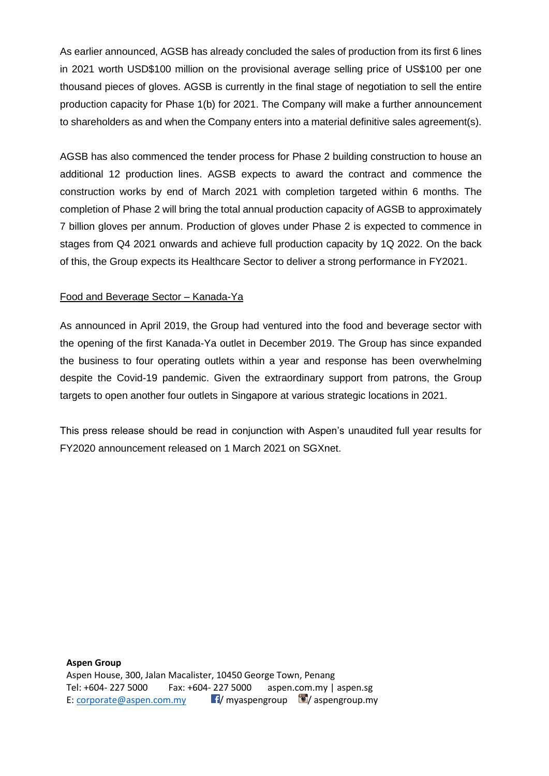As earlier announced, AGSB has already concluded the sales of production from its first 6 lines in 2021 worth USD\$100 million on the provisional average selling price of US\$100 per one thousand pieces of gloves. AGSB is currently in the final stage of negotiation to sell the entire production capacity for Phase 1(b) for 2021. The Company will make a further announcement to shareholders as and when the Company enters into a material definitive sales agreement(s).

AGSB has also commenced the tender process for Phase 2 building construction to house an additional 12 production lines. AGSB expects to award the contract and commence the construction works by end of March 2021 with completion targeted within 6 months. The completion of Phase 2 will bring the total annual production capacity of AGSB to approximately 7 billion gloves per annum. Production of gloves under Phase 2 is expected to commence in stages from Q4 2021 onwards and achieve full production capacity by 1Q 2022. On the back of this, the Group expects its Healthcare Sector to deliver a strong performance in FY2021.

## Food and Beverage Sector – Kanada-Ya

As announced in April 2019, the Group had ventured into the food and beverage sector with the opening of the first Kanada-Ya outlet in December 2019. The Group has since expanded the business to four operating outlets within a year and response has been overwhelming despite the Covid-19 pandemic. Given the extraordinary support from patrons, the Group targets to open another four outlets in Singapore at various strategic locations in 2021.

This press release should be read in conjunction with Aspen's unaudited full year results for FY2020 announcement released on 1 March 2021 on SGXnet.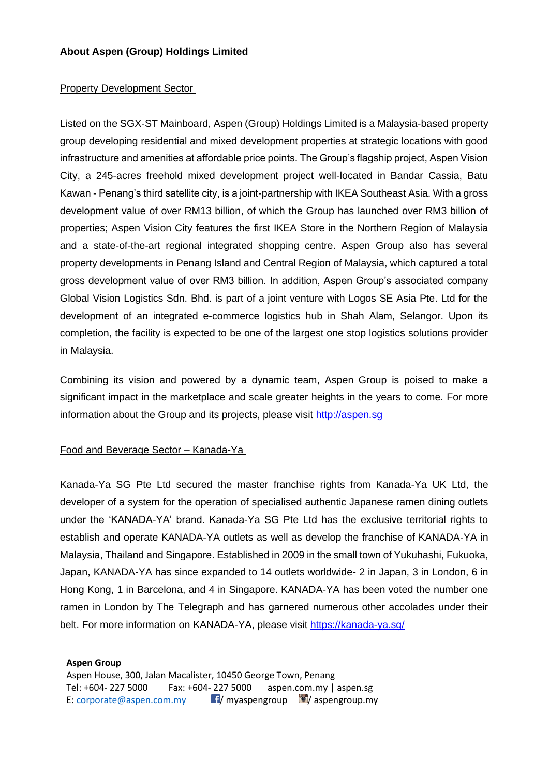## **About Aspen (Group) Holdings Limited**

#### Property Development Sector

Listed on the SGX-ST Mainboard, Aspen (Group) Holdings Limited is a Malaysia-based property group developing residential and mixed development properties at strategic locations with good infrastructure and amenities at affordable price points. The Group's flagship project, Aspen Vision City, a 245-acres freehold mixed development project well-located in Bandar Cassia, Batu Kawan - Penang's third satellite city, is a joint-partnership with IKEA Southeast Asia. With a gross development value of over RM13 billion, of which the Group has launched over RM3 billion of properties; Aspen Vision City features the first IKEA Store in the Northern Region of Malaysia and a state-of-the-art regional integrated shopping centre. Aspen Group also has several property developments in Penang Island and Central Region of Malaysia, which captured a total gross development value of over RM3 billion. In addition, Aspen Group's associated company Global Vision Logistics Sdn. Bhd. is part of a joint venture with Logos SE Asia Pte. Ltd for the development of an integrated e-commerce logistics hub in Shah Alam, Selangor. Upon its completion, the facility is expected to be one of the largest one stop logistics solutions provider in Malaysia.

Combining its vision and powered by a dynamic team, Aspen Group is poised to make a significant impact in the marketplace and scale greater heights in the years to come. For more information about the Group and its projects, please visit [http://aspen.sg](http://aspen.sg/)

#### Food and Beverage Sector – Kanada-Ya

Kanada-Ya SG Pte Ltd secured the master franchise rights from Kanada-Ya UK Ltd, the developer of a system for the operation of specialised authentic Japanese ramen dining outlets under the 'KANADA-YA' brand. Kanada-Ya SG Pte Ltd has the exclusive territorial rights to establish and operate KANADA-YA outlets as well as develop the franchise of KANADA-YA in Malaysia, Thailand and Singapore. Established in 2009 in the small town of Yukuhashi, Fukuoka, Japan, KANADA-YA has since expanded to 14 outlets worldwide- 2 in Japan, 3 in London, 6 in Hong Kong, 1 in Barcelona, and 4 in Singapore. KANADA-YA has been voted the number one ramen in London by The Telegraph and has garnered numerous other accolades under their belt. For more information on KANADA-YA, please visit<https://kanada-ya.sg/>

#### **Aspen Group**

Aspen House, 300, Jalan Macalister, 10450 George Town, Penang Tel: +604- 227 5000 Fax: +604- 227 5000 aspen.com.my | aspen.sg E: [corporate@aspen.com.my](mailto:corporate@aspen.com.my) **1/** myaspengroup  $\blacksquare$  / aspengroup.my